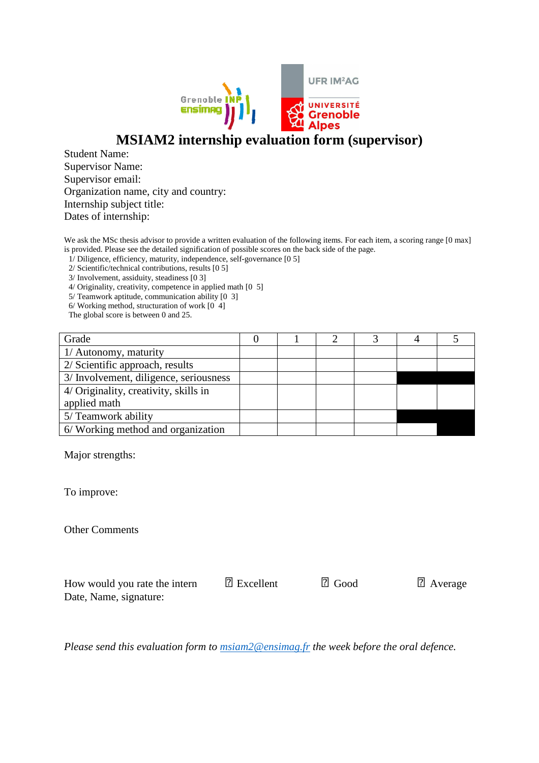

## **MSIAM2 internship evaluation form (supervisor)**

Student Name: Supervisor Name: Supervisor email: Organization name, city and country: Internship subject title: Dates of internship:

We ask the MSc thesis advisor to provide a written evaluation of the following items. For each item, a scoring range [0 max] is provided. Please see the detailed signification of possible scores on the back side of the page.

1/ Diligence, efficiency, maturity, independence, self-governance [0 5]

2/ Scientific/technical contributions, results [0 5]

3/ Involvement, assiduity, steadiness [0 3]

4/ Originality, creativity, competence in applied math [0 5]

5/ Teamwork aptitude, communication ability [0 3]

 $6/$  Working method, structuration of work  $[0, 4]$ 

The global score is between 0 and 25.

| Grade                                  |  |  |  |
|----------------------------------------|--|--|--|
| 1/ Autonomy, maturity                  |  |  |  |
| 2/ Scientific approach, results        |  |  |  |
| 3/ Involvement, diligence, seriousness |  |  |  |
| 4/ Originality, creativity, skills in  |  |  |  |
| applied math                           |  |  |  |
| 5/ Teamwork ability                    |  |  |  |
| 6/ Working method and organization     |  |  |  |

Major strengths:

To improve:

Other Comments

How would you rate the intern Excellent Good Average Date, Name, signature:

*Please send this evaluation form to msiam2@ensimag.fr the week before the oral defence.*